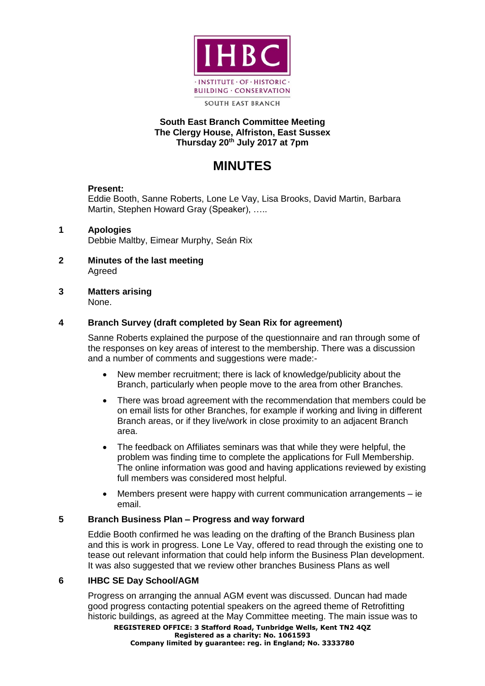

**SOUTH EAST BRANCH** 

## **South East Branch Committee Meeting The Clergy House, Alfriston, East Sussex Thursday 20th July 2017 at 7pm**

# **MINUTES**

# **Present:**

Eddie Booth, Sanne Roberts, Lone Le Vay, Lisa Brooks, David Martin, Barbara Martin, Stephen Howard Gray (Speaker), …..

# **1 Apologies**

Debbie Maltby, Eimear Murphy, Seán Rix

- **2 Minutes of the last meeting**  Agreed
- **3 Matters arising**

None.

# **4 Branch Survey (draft completed by Sean Rix for agreement)**

Sanne Roberts explained the purpose of the questionnaire and ran through some of the responses on key areas of interest to the membership. There was a discussion and a number of comments and suggestions were made:-

- New member recruitment; there is lack of knowledge/publicity about the Branch, particularly when people move to the area from other Branches.
- There was broad agreement with the recommendation that members could be on email lists for other Branches, for example if working and living in different Branch areas, or if they live/work in close proximity to an adjacent Branch area.
- The feedback on Affiliates seminars was that while they were helpful, the problem was finding time to complete the applications for Full Membership. The online information was good and having applications reviewed by existing full members was considered most helpful.
- Members present were happy with current communication arrangements ie email.

## **5 Branch Business Plan – Progress and way forward**

Eddie Booth confirmed he was leading on the drafting of the Branch Business plan and this is work in progress. Lone Le Vay, offered to read through the existing one to tease out relevant information that could help inform the Business Plan development. It was also suggested that we review other branches Business Plans as well

## **6 IHBC SE Day School/AGM**

Progress on arranging the annual AGM event was discussed. Duncan had made good progress contacting potential speakers on the agreed theme of Retrofitting historic buildings, as agreed at the May Committee meeting. The main issue was to